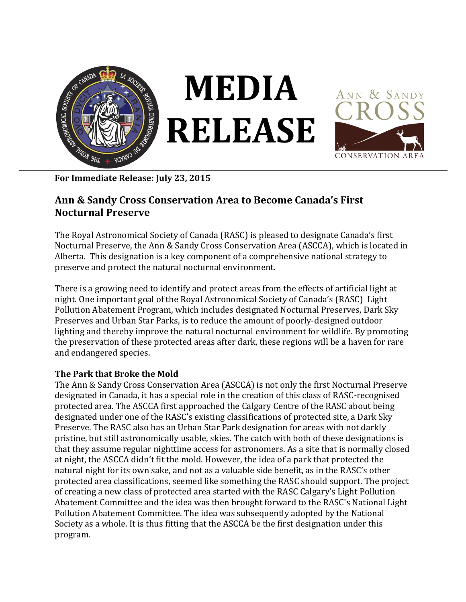

**For Immediate Release: July 23, 2015**

## **Ann & Sandy Cross Conservation Area to Become Canada's First Nocturnal Preserve**

The Royal Astronomical Society of Canada (RASC) is pleased to designate Canada's first Nocturnal Preserve, the Ann & Sandy Cross Conservation Area (ASCCA), which is located in Alberta. This designation is a key component of a comprehensive national strategy to preserve and protect the natural nocturnal environment.

There is a growing need to identify and protect areas from the effects of artificial light at night. One important goal of the Royal Astronomical Society of Canada's (RASC) Light Pollution Abatement Program, which includes designated Nocturnal Preserves, Dark Sky Preserves and Urban Star Parks, is to reduce the amount of poorly-designed outdoor lighting and thereby improve the natural nocturnal environment for wildlife. By promoting the preservation of these protected areas after dark, these regions will be a haven for rare and endangered species.

## **The Park that Broke the Mold**

The Ann & Sandy Cross Conservation Area (ASCCA) is not only the first Nocturnal Preserve designated in Canada, it has a special role in the creation of this class of RASC-recognised protected area. The ASCCA first approached the Calgary Centre of the RASC about being designated under one of the RASC's existing classifications of protected site, a Dark Sky Preserve. The RASC also has an Urban Star Park designation for areas with not darkly pristine, but still astronomically usable, skies. The catch with both of these designations is that they assume regular nighttime access for astronomers. As a site that is normally closed at night, the ASCCA didn't fit the mold. However, the idea of a park that protected the natural night for its own sake, and not as a valuable side benefit, as in the RASC's other protected area classifications, seemed like something the RASC should support. The project of creating a new class of protected area started with the RASC Calgary's Light Pollution Abatement Committee and the idea was then brought forward to the RASC's National Light Pollution Abatement Committee. The idea was subsequently adopted by the National Society as a whole. It is thus fitting that the ASCCA be the first designation under this program.